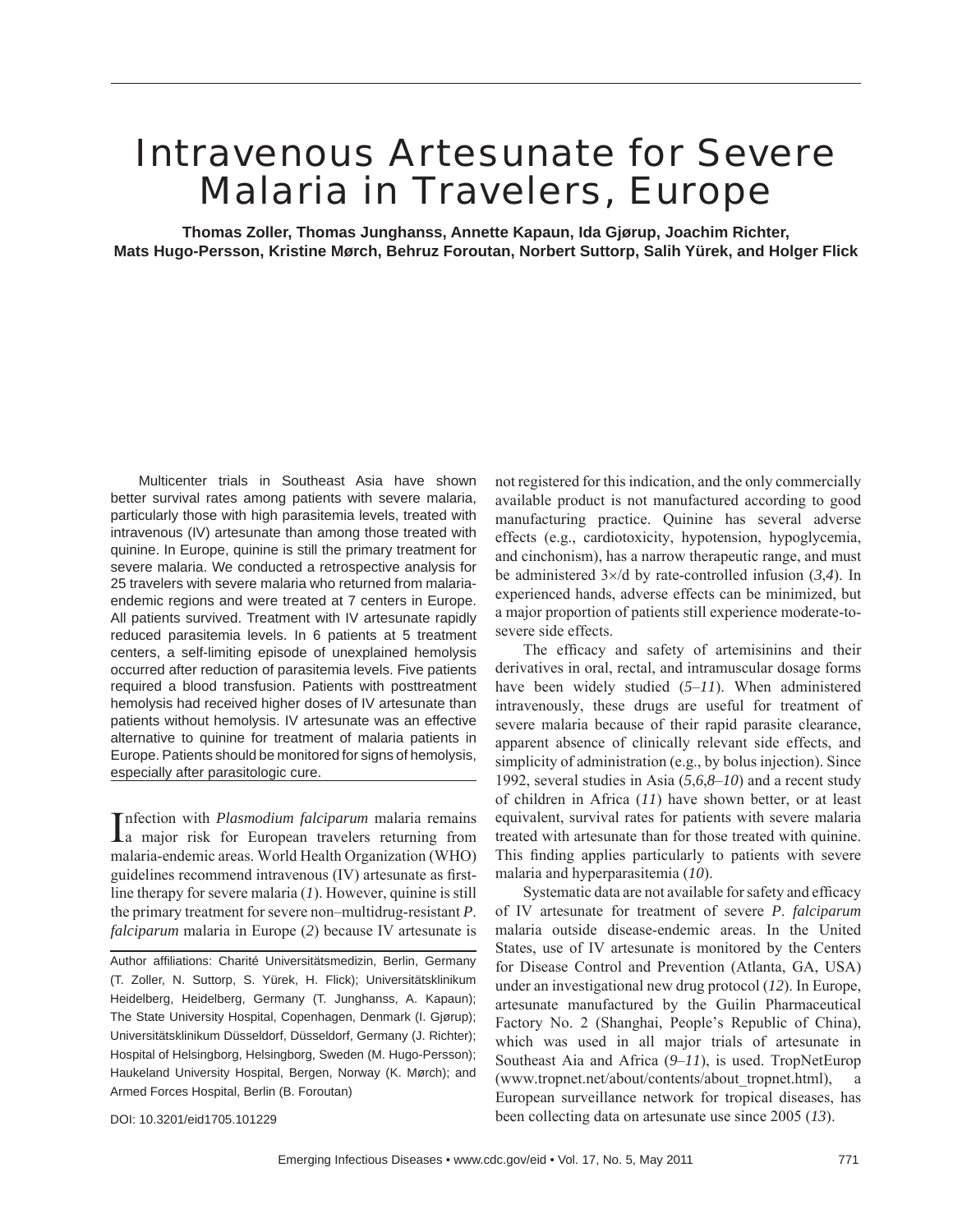# Intravenous Artesunate for Severe Malaria in Travelers, Europe

**Thomas Zoller, Thomas Junghanss, Annette Kapaun, Ida Gjørup, Joachim Richter, Mats Hugo-Persson, Kristine Mørch, Behruz Foroutan, Norbert Suttorp, Salih Yürek, and Holger Flick**

Multicenter trials in Southeast Asia have shown better survival rates among patients with severe malaria, particularly those with high parasitemia levels, treated with intravenous (IV) artesunate than among those treated with quinine. In Europe, quinine is still the primary treatment for severe malaria. We conducted a retrospective analysis for 25 travelers with severe malaria who returned from malariaendemic regions and were treated at 7 centers in Europe. All patients survived. Treatment with IV artesunate rapidly reduced parasitemia levels. In 6 patients at 5 treatment centers, a self-limiting episode of unexplained hemolysis occurred after reduction of parasitemia levels. Five patients required a blood transfusion. Patients with posttreatment hemolysis had received higher doses of IV artesunate than patients without hemolysis. IV artesunate was an effective alternative to quinine for treatment of malaria patients in Europe. Patients should be monitored for signs of hemolysis, especially after parasitologic cure.

Infection with *Plasmodium falciparum* malaria remains<br>Ia major risk for European travelers returning from nfection with *Plasmodium falciparum* malaria remains malaria-endemic areas. World Health Organization (WHO) guidelines recommend intravenous (IV) artesunate as firstline therapy for severe malaria (*1*). However, quinine is still the primary treatment for severe non–multidrug-resistant *P*. *falciparum* malaria in Europe (*2*) because IV artesunate is

Author affiliations: Charité Universitätsmedizin, Berlin, Germany (T. Zoller, N. Suttorp, S. Yürek, H. Flick); Universitätsklinikum Heidelberg, Heidelberg, Germany (T. Junghanss, A. Kapaun); The State University Hospital, Copenhagen, Denmark (I. Gjørup); Universitätsklinikum Düsseldorf, Düsseldorf, Germany (J. Richter); Hospital of Helsingborg, Helsingborg, Sweden (M. Hugo-Persson); Haukeland University Hospital, Bergen, Norway (K. Mørch); and Armed Forces Hospital, Berlin (B. Foroutan)

not registered for this indication, and the only commercially available product is not manufactured according to good manufacturing practice. Quinine has several adverse effects (e.g., cardiotoxicity, hypotension, hypoglycemia, and cinchonism), has a narrow therapeutic range, and must be administered 3×/d by rate-controlled infusion (*3*,*4*). In experienced hands, adverse effects can be minimized, but a major proportion of patients still experience moderate-tosevere side effects.

The efficacy and safety of artemisinins and their derivatives in oral, rectal, and intramuscular dosage forms have been widely studied (*5*–*11*). When administered intravenously, these drugs are useful for treatment of severe malaria because of their rapid parasite clearance, apparent absence of clinically relevant side effects, and simplicity of administration (e.g., by bolus injection). Since 1992, several studies in Asia (*5*,*6*,*8*–*10*) and a recent study of children in Africa (*11*) have shown better, or at least equivalent, survival rates for patients with severe malaria treated with artesunate than for those treated with quinine. This finding applies particularly to patients with severe malaria and hyperparasitemia (*10*).

Systematic data are not available for safety and efficacy of IV artesunate for treatment of severe *P*. *falciparum*  malaria outside disease-endemic areas. In the United States, use of IV artesunate is monitored by the Centers for Disease Control and Prevention (Atlanta, GA, USA) under an investigational new drug protocol (*12*). In Europe, artesunate manufactured by the Guilin Pharmaceutical Factory No. 2 (Shanghai, People's Republic of China), which was used in all major trials of artesunate in Southeast Aia and Africa (*9*–*11*), is used. TropNetEurop (www.tropnet.net/about/contents/about\_tropnet.html), a European surveillance network for tropical diseases, has been collecting data on artesunate use since 2005 (*13*).

DOI: 10.3201/eid1705.101229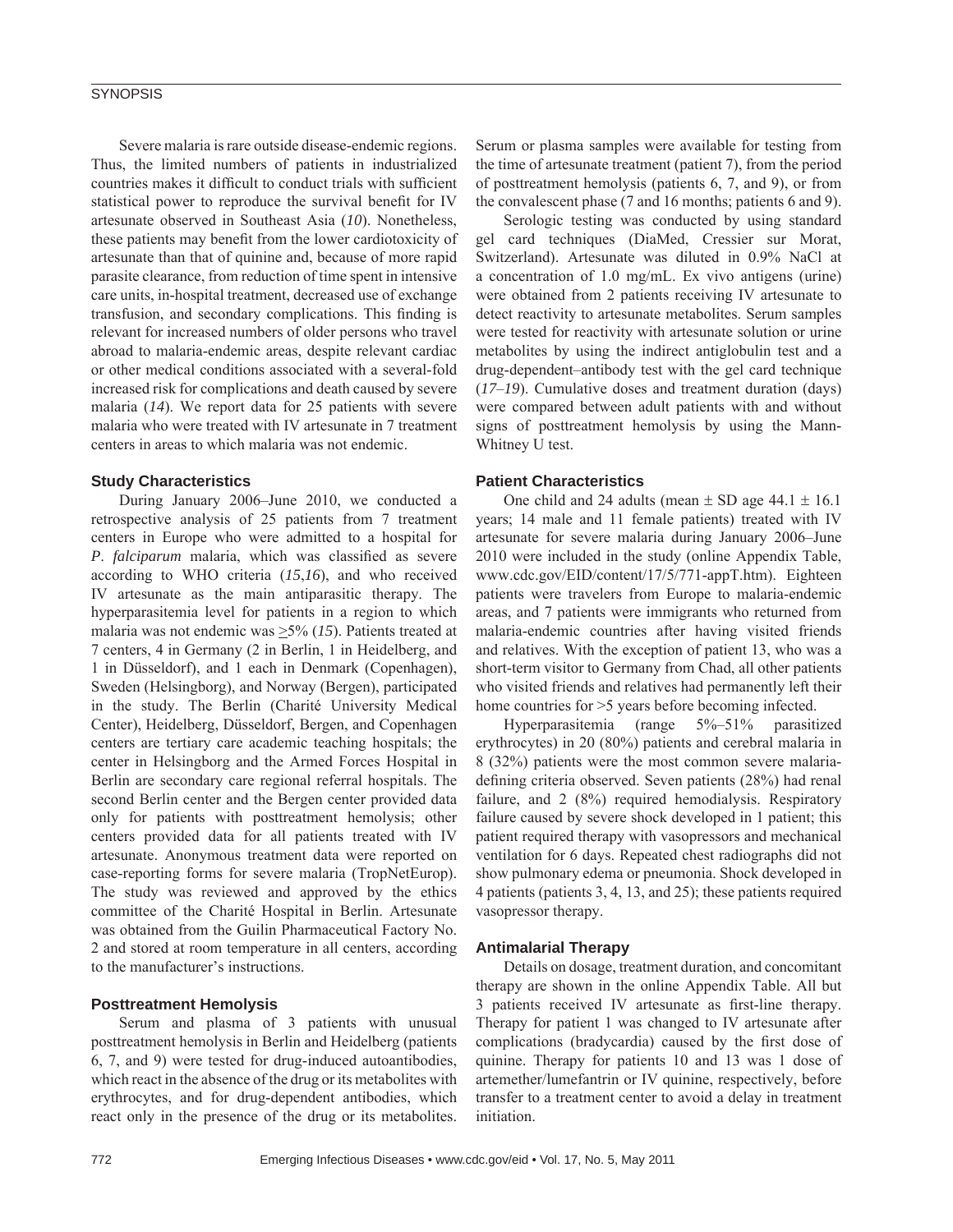# **SYNOPSIS**

Severe malaria is rare outside disease-endemic regions. Thus, the limited numbers of patients in industrialized countries makes it difficult to conduct trials with sufficient statistical power to reproduce the survival benefit for IV artesunate observed in Southeast Asia (*10*). Nonetheless, these patients may benefit from the lower cardiotoxicity of artesunate than that of quinine and, because of more rapid parasite clearance, from reduction of time spent in intensive care units, in-hospital treatment, decreased use of exchange transfusion, and secondary complications. This finding is relevant for increased numbers of older persons who travel abroad to malaria-endemic areas, despite relevant cardiac or other medical conditions associated with a several-fold increased risk for complications and death caused by severe malaria (*14*). We report data for 25 patients with severe malaria who were treated with IV artesunate in 7 treatment centers in areas to which malaria was not endemic.

# **Study Characteristics**

During January 2006–June 2010, we conducted a retrospective analysis of 25 patients from 7 treatment centers in Europe who were admitted to a hospital for *P. falciparum* malaria, which was classified as severe according to WHO criteria (*15*,*16*), and who received IV artesunate as the main antiparasitic therapy. The hyperparasitemia level for patients in a region to which malaria was not endemic was  $\geq$ 5% (15). Patients treated at 7 centers, 4 in Germany (2 in Berlin, 1 in Heidelberg, and 1 in Düsseldorf), and 1 each in Denmark (Copenhagen), Sweden (Helsingborg), and Norway (Bergen), participated in the study. The Berlin (Charité University Medical Center), Heidelberg, Düsseldorf, Bergen, and Copenhagen centers are tertiary care academic teaching hospitals; the center in Helsingborg and the Armed Forces Hospital in Berlin are secondary care regional referral hospitals. The second Berlin center and the Bergen center provided data only for patients with posttreatment hemolysis; other centers provided data for all patients treated with IV artesunate. Anonymous treatment data were reported on case-reporting forms for severe malaria (TropNetEurop). The study was reviewed and approved by the ethics committee of the Charité Hospital in Berlin. Artesunate was obtained from the Guilin Pharmaceutical Factory No. 2 and stored at room temperature in all centers, according to the manufacturer's instructions.

## **Posttreatment Hemolysis**

Serum and plasma of 3 patients with unusual posttreatment hemolysis in Berlin and Heidelberg (patients 6, 7, and 9) were tested for drug-induced autoantibodies, which react in the absence of the drug or its metabolites with erythrocytes, and for drug-dependent antibodies, which react only in the presence of the drug or its metabolites.

Serum or plasma samples were available for testing from the time of artesunate treatment (patient 7), from the period of posttreatment hemolysis (patients 6, 7, and 9), or from the convalescent phase (7 and 16 months; patients 6 and 9).

Serologic testing was conducted by using standard gel card techniques (DiaMed, Cressier sur Morat, Switzerland). Artesunate was diluted in 0.9% NaCl at a concentration of 1.0 mg/mL. Ex vivo antigens (urine) were obtained from 2 patients receiving IV artesunate to detect reactivity to artesunate metabolites. Serum samples were tested for reactivity with artesunate solution or urine metabolites by using the indirect antiglobulin test and a drug-dependent–antibody test with the gel card technique (*17*–*19*). Cumulative doses and treatment duration (days) were compared between adult patients with and without signs of posttreatment hemolysis by using the Mann-Whitney U test.

# **Patient Characteristics**

One child and 24 adults (mean  $\pm$  SD age 44.1  $\pm$  16.1 years; 14 male and 11 female patients) treated with IV artesunate for severe malaria during January 2006–June 2010 were included in the study (online Appendix Table, www.cdc.gov/EID/content/17/5/771-appT.htm). Eighteen patients were travelers from Europe to malaria-endemic areas, and 7 patients were immigrants who returned from malaria-endemic countries after having visited friends and relatives. With the exception of patient 13, who was a short-term visitor to Germany from Chad, all other patients who visited friends and relatives had permanently left their home countries for  $>5$  years before becoming infected.

Hyperparasitemia (range 5%–51% parasitized erythrocytes) in 20 (80%) patients and cerebral malaria in 8 (32%) patients were the most common severe malariadefining criteria observed. Seven patients (28%) had renal failure, and 2 (8%) required hemodialysis. Respiratory failure caused by severe shock developed in 1 patient; this patient required therapy with vasopressors and mechanical ventilation for 6 days. Repeated chest radiographs did not show pulmonary edema or pneumonia. Shock developed in 4 patients (patients 3, 4, 13, and 25); these patients required vasopressor therapy.

## **Antimalarial Therapy**

Details on dosage, treatment duration, and concomitant therapy are shown in the online Appendix Table. All but 3 patients received IV artesunate as first-line therapy. Therapy for patient 1 was changed to IV artesunate after complications (bradycardia) caused by the first dose of quinine. Therapy for patients 10 and 13 was 1 dose of artemether/lumefantrin or IV quinine, respectively, before transfer to a treatment center to avoid a delay in treatment initiation.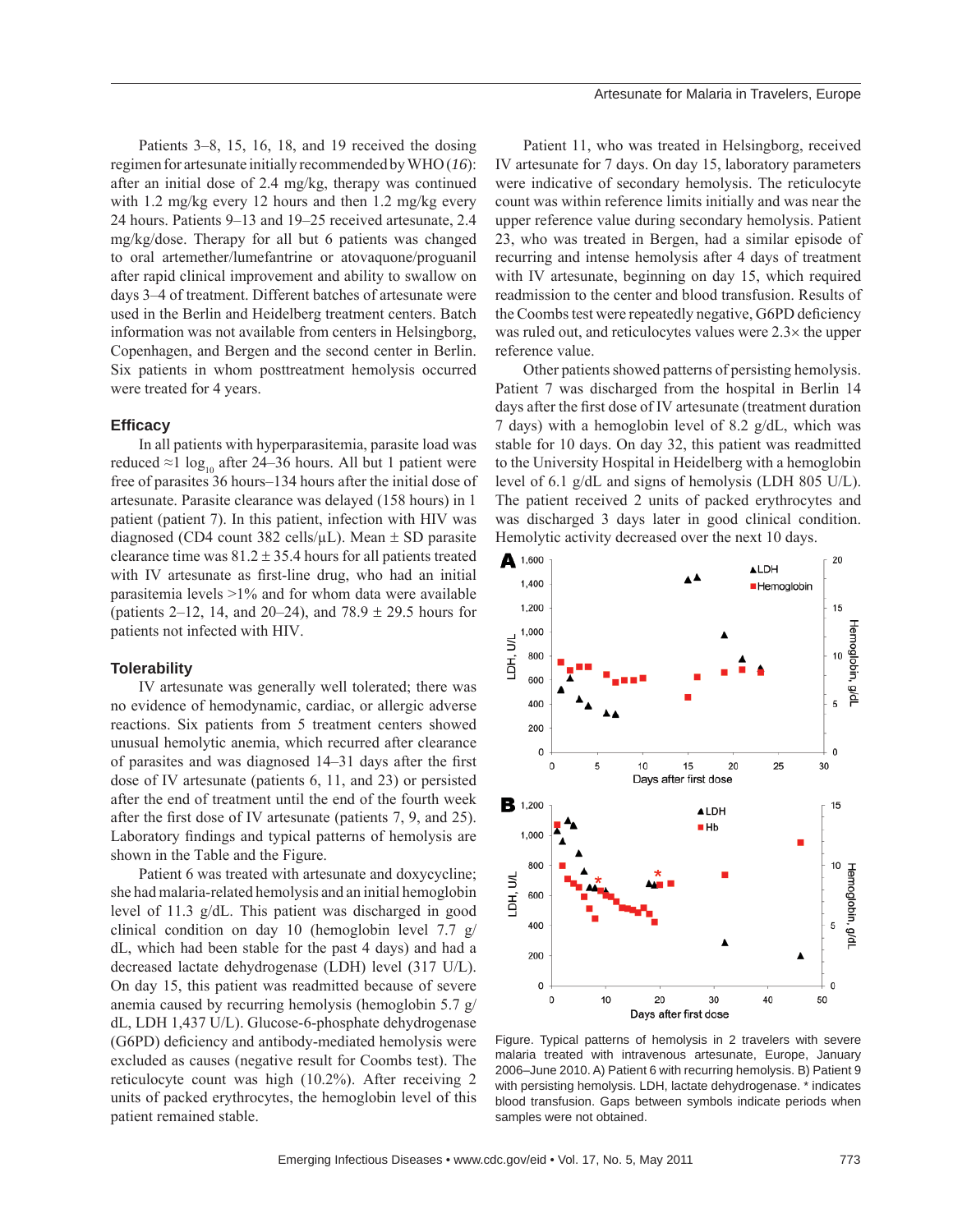Patients 3–8, 15, 16, 18, and 19 received the dosing regimen for artesunate initially recommended by WHO (*16*): after an initial dose of 2.4 mg/kg, therapy was continued with 1.2 mg/kg every 12 hours and then 1.2 mg/kg every 24 hours. Patients 9–13 and 19–25 received artesunate, 2.4 mg/kg/dose. Therapy for all but 6 patients was changed to oral artemether/lumefantrine or atovaquone/proguanil after rapid clinical improvement and ability to swallow on days 3–4 of treatment. Different batches of artesunate were used in the Berlin and Heidelberg treatment centers. Batch information was not available from centers in Helsingborg, Copenhagen, and Bergen and the second center in Berlin. Six patients in whom posttreatment hemolysis occurred were treated for 4 years.

## **Effi cacy**

In all patients with hyperparasitemia, parasite load was reduced ≈1 log<sub>10</sub> after 24–36 hours. All but 1 patient were free of parasites 36 hours–134 hours after the initial dose of artesunate. Parasite clearance was delayed (158 hours) in 1 patient (patient 7). In this patient, infection with HIV was diagnosed (CD4 count 382 cells/ $\mu$ L). Mean  $\pm$  SD parasite clearance time was  $81.2 \pm 35.4$  hours for all patients treated with IV artesunate as first-line drug, who had an initial parasitemia levels  $>1\%$  and for whom data were available (patients 2–12, 14, and 20–24), and 78.9  $\pm$  29.5 hours for patients not infected with HIV.

#### **Tolerability**

IV artesunate was generally well tolerated; there was no evidence of hemodynamic, cardiac, or allergic adverse reactions. Six patients from 5 treatment centers showed unusual hemolytic anemia, which recurred after clearance of parasites and was diagnosed  $14-31$  days after the first dose of IV artesunate (patients 6, 11, and 23) or persisted after the end of treatment until the end of the fourth week after the first dose of IV artesunate (patients  $7, 9$ , and  $25$ ). Laboratory findings and typical patterns of hemolysis are shown in the Table and the Figure.

Patient 6 was treated with artesunate and doxycycline; she had malaria-related hemolysis and an initial hemoglobin level of 11.3 g/dL. This patient was discharged in good clinical condition on day 10 (hemoglobin level 7.7 g/ dL, which had been stable for the past 4 days) and had a decreased lactate dehydrogenase (LDH) level (317 U/L). On day 15, this patient was readmitted because of severe anemia caused by recurring hemolysis (hemoglobin 5.7 g/ dL, LDH 1,437 U/L). Glucose-6-phosphate dehydrogenase (G6PD) deficiency and antibody-mediated hemolysis were excluded as causes (negative result for Coombs test). The reticulocyte count was high (10.2%). After receiving 2 units of packed erythrocytes, the hemoglobin level of this patient remained stable.

Patient 11, who was treated in Helsingborg, received IV artesunate for 7 days. On day 15, laboratory parameters were indicative of secondary hemolysis. The reticulocyte count was within reference limits initially and was near the upper reference value during secondary hemolysis. Patient 23, who was treated in Bergen, had a similar episode of recurring and intense hemolysis after 4 days of treatment with IV artesunate, beginning on day 15, which required readmission to the center and blood transfusion. Results of the Coombs test were repeatedly negative, G6PD deficiency was ruled out, and reticulocytes values were 2.3× the upper reference value.

Other patients showed patterns of persisting hemolysis. Patient 7 was discharged from the hospital in Berlin 14 days after the first dose of IV artesunate (treatment duration 7 days) with a hemoglobin level of 8.2 g/dL, which was stable for 10 days. On day 32, this patient was readmitted to the University Hospital in Heidelberg with a hemoglobin level of 6.1 g/dL and signs of hemolysis (LDH 805 U/L). The patient received 2 units of packed erythrocytes and was discharged 3 days later in good clinical condition. Hemolytic activity decreased over the next 10 days.



Figure. Typical patterns of hemolysis in 2 travelers with severe malaria treated with intravenous artesunate, Europe, January 2006–June 2010. A) Patient 6 with recurring hemolysis. B) Patient 9 with persisting hemolysis. LDH, lactate dehydrogenase. \* indicates blood transfusion. Gaps between symbols indicate periods when samples were not obtained.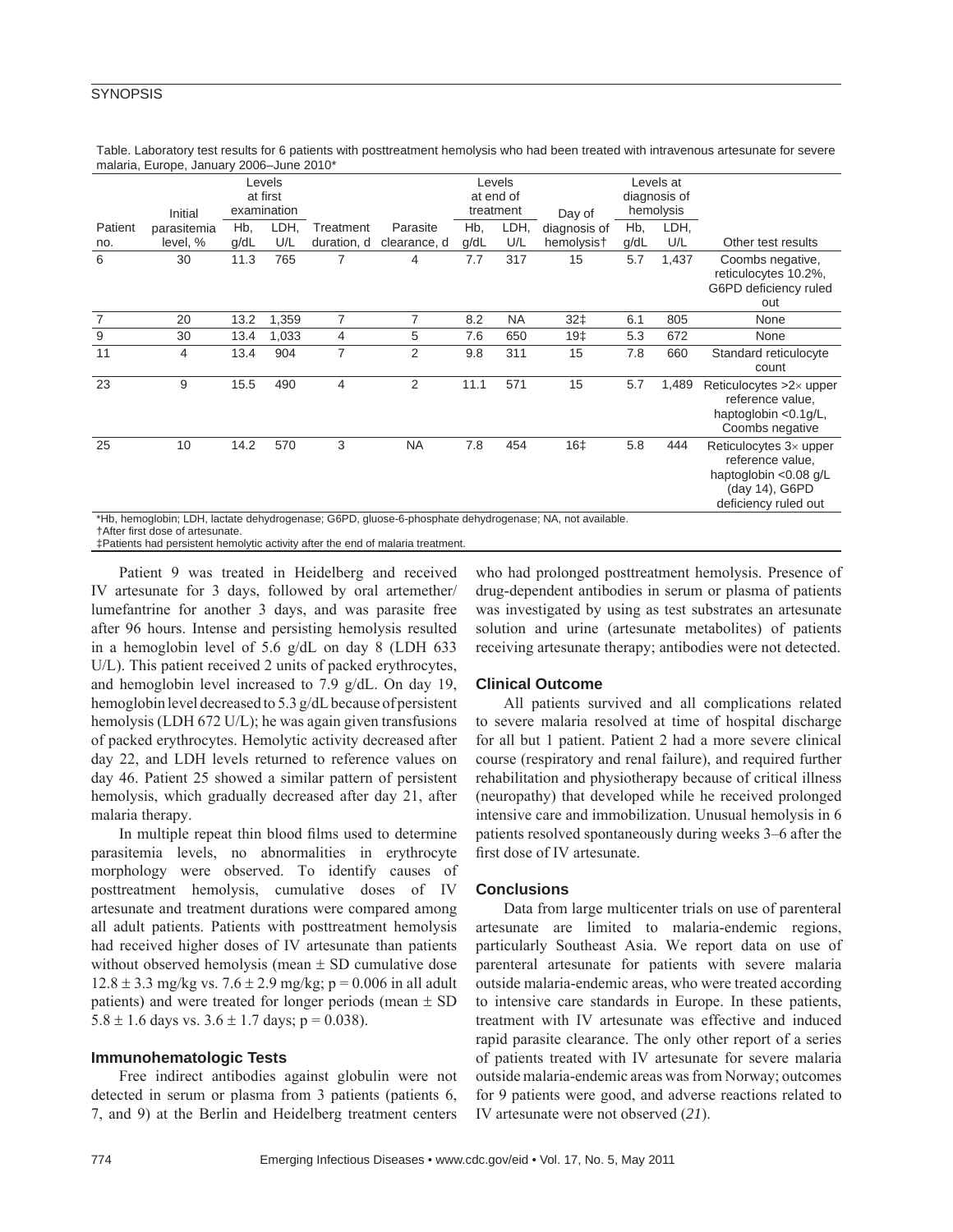# **SYNOPSIS**

| $r1$ and $r2$ , $r3$ , $r4$ , $r5$ , $r6$ , $r7$ , $r8$ , $r9$ , $r9$                                                                              |                    |      |             |             |                |           |                     |                 |                           |       |                                                                                                                      |
|----------------------------------------------------------------------------------------------------------------------------------------------------|--------------------|------|-------------|-------------|----------------|-----------|---------------------|-----------------|---------------------------|-------|----------------------------------------------------------------------------------------------------------------------|
|                                                                                                                                                    | Levels<br>at first |      |             |             |                |           | Levels<br>at end of |                 | Levels at<br>diagnosis of |       |                                                                                                                      |
|                                                                                                                                                    | Initial            |      | examination |             |                | treatment |                     | Day of          | hemolysis                 |       |                                                                                                                      |
| Patient                                                                                                                                            | parasitemia        | Hb,  | LDH,        | Treatment   | Parasite       | Hb,       | LDH,                | diagnosis of    | Hb,                       | LDH,  |                                                                                                                      |
| no.                                                                                                                                                | level, %           | q/dL | U/L         | duration, d | clearance, d   | g/dL      | U/L                 | hemolysis†      | g/dL                      | U/L   | Other test results                                                                                                   |
| 6                                                                                                                                                  | 30                 | 11.3 | 765         | 7           | 4              | 7.7       | 317                 | 15              | 5.7                       | 1,437 | Coombs negative,<br>reticulocytes 10.2%,<br>G6PD deficiency ruled<br>out                                             |
| $\overline{7}$                                                                                                                                     | 20                 | 13.2 | 1,359       | 7           | 7              | 8.2       | <b>NA</b>           | $32+$           | 6.1                       | 805   | None                                                                                                                 |
| 9                                                                                                                                                  | 30                 | 13.4 | 1,033       | 4           | 5              | 7.6       | 650                 | 19 <sub>‡</sub> | 5.3                       | 672   | None                                                                                                                 |
| 11                                                                                                                                                 | 4                  | 13.4 | 904         | 7           | 2              | 9.8       | 311                 | 15              | 7.8                       | 660   | Standard reticulocyte<br>count                                                                                       |
| 23                                                                                                                                                 | 9                  | 15.5 | 490         | 4           | $\overline{2}$ | 11.1      | 571                 | 15              | 5.7                       | 1,489 | Reticulocytes $>2\times$ upper<br>reference value.<br>haptoglobin <0.1g/L,<br>Coombs negative                        |
| 25                                                                                                                                                 | 10                 | 14.2 | 570         | 3           | <b>NA</b>      | 7.8       | 454                 | 16‡             | 5.8                       | 444   | Reticulocytes $3\times$ upper<br>reference value,<br>haptoglobin <0.08 g/L<br>(day 14), G6PD<br>deficiency ruled out |
| *Hb, hemoglobin; LDH, lactate dehydrogenase; G6PD, gluose-6-phosphate dehydrogenase; NA, not available.<br><b>TAfter first dose of artesunate.</b> |                    |      |             |             |                |           |                     |                 |                           |       |                                                                                                                      |

Table. Laboratory test results for 6 patients with posttreatment hemolysis who had been treated with intravenous artesunate for severe malaria, Europe, January 2006–June 2010\*

‡Patients had persistent hemolytic activity after the end of malaria treatment.

Patient 9 was treated in Heidelberg and received IV artesunate for 3 days, followed by oral artemether/ lumefantrine for another 3 days, and was parasite free after 96 hours. Intense and persisting hemolysis resulted in a hemoglobin level of 5.6 g/dL on day 8 (LDH 633 U/L). This patient received 2 units of packed erythrocytes, and hemoglobin level increased to 7.9 g/dL. On day 19, hemoglobin level decreased to 5.3 g/dL because of persistent hemolysis (LDH 672 U/L); he was again given transfusions of packed erythrocytes. Hemolytic activity decreased after day 22, and LDH levels returned to reference values on day 46. Patient 25 showed a similar pattern of persistent hemolysis, which gradually decreased after day 21, after malaria therapy.

In multiple repeat thin blood films used to determine parasitemia levels, no abnormalities in erythrocyte morphology were observed. To identify causes of posttreatment hemolysis, cumulative doses of IV artesunate and treatment durations were compared among all adult patients. Patients with posttreatment hemolysis had received higher doses of IV artesunate than patients without observed hemolysis (mean  $\pm$  SD cumulative dose  $12.8 \pm 3.3$  mg/kg vs.  $7.6 \pm 2.9$  mg/kg; p = 0.006 in all adult patients) and were treated for longer periods (mean  $\pm$  SD  $5.8 \pm 1.6$  days vs.  $3.6 \pm 1.7$  days; p = 0.038).

# **Immunohematologic Tests**

Free indirect antibodies against globulin were not detected in serum or plasma from 3 patients (patients 6, 7, and 9) at the Berlin and Heidelberg treatment centers who had prolonged posttreatment hemolysis. Presence of drug-dependent antibodies in serum or plasma of patients was investigated by using as test substrates an artesunate solution and urine (artesunate metabolites) of patients receiving artesunate therapy; antibodies were not detected.

# **Clinical Outcome**

All patients survived and all complications related to severe malaria resolved at time of hospital discharge for all but 1 patient. Patient 2 had a more severe clinical course (respiratory and renal failure), and required further rehabilitation and physiotherapy because of critical illness (neuropathy) that developed while he received prolonged intensive care and immobilization. Unusual hemolysis in 6 patients resolved spontaneously during weeks 3–6 after the first dose of IV artesunate.

# **Conclusions**

Data from large multicenter trials on use of parenteral artesunate are limited to malaria-endemic regions, particularly Southeast Asia. We report data on use of parenteral artesunate for patients with severe malaria outside malaria-endemic areas, who were treated according to intensive care standards in Europe. In these patients, treatment with IV artesunate was effective and induced rapid parasite clearance. The only other report of a series of patients treated with IV artesunate for severe malaria outside malaria-endemic areas was from Norway; outcomes for 9 patients were good, and adverse reactions related to IV artesunate were not observed (*21*).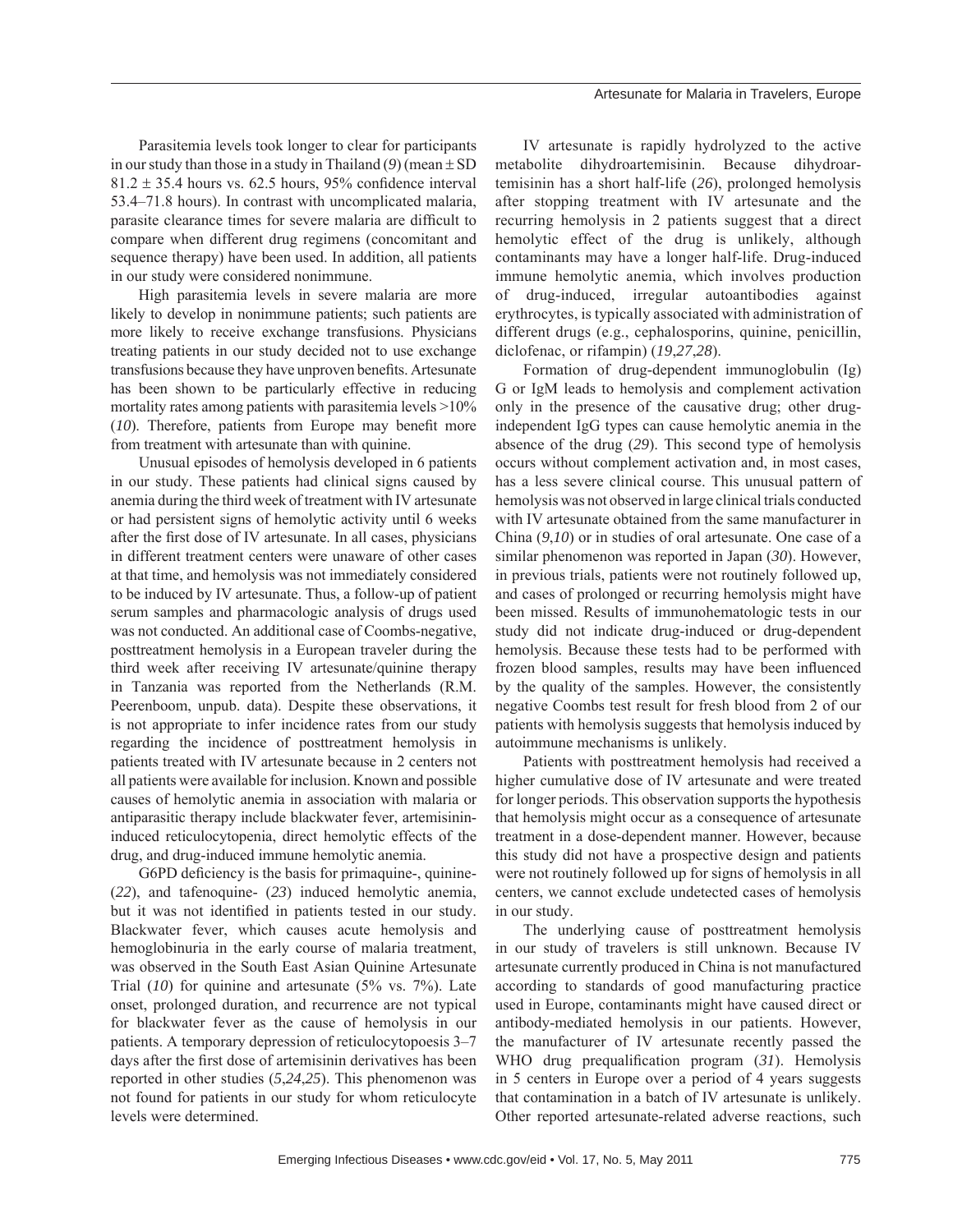Parasitemia levels took longer to clear for participants in our study than those in a study in Thailand (*9*) (mean ± SD  $81.2 \pm 35.4$  hours vs. 62.5 hours, 95% confidence interval 53.4–71.8 hours). In contrast with uncomplicated malaria, parasite clearance times for severe malaria are difficult to compare when different drug regimens (concomitant and sequence therapy) have been used. In addition, all patients in our study were considered nonimmune.

High parasitemia levels in severe malaria are more likely to develop in nonimmune patients; such patients are more likely to receive exchange transfusions. Physicians treating patients in our study decided not to use exchange transfusions because they have unproven benefits. Artesunate has been shown to be particularly effective in reducing mortality rates among patients with parasitemia levels >10% (10). Therefore, patients from Europe may benefit more from treatment with artesunate than with quinine.

Unusual episodes of hemolysis developed in 6 patients in our study. These patients had clinical signs caused by anemia during the third week of treatment with IV artesunate or had persistent signs of hemolytic activity until 6 weeks after the first dose of IV artesunate. In all cases, physicians in different treatment centers were unaware of other cases at that time, and hemolysis was not immediately considered to be induced by IV artesunate. Thus, a follow-up of patient serum samples and pharmacologic analysis of drugs used was not conducted. An additional case of Coombs-negative, posttreatment hemolysis in a European traveler during the third week after receiving IV artesunate/quinine therapy in Tanzania was reported from the Netherlands (R.M. Peerenboom, unpub. data). Despite these observations, it is not appropriate to infer incidence rates from our study regarding the incidence of posttreatment hemolysis in patients treated with IV artesunate because in 2 centers not all patients were available for inclusion. Known and possible causes of hemolytic anemia in association with malaria or antiparasitic therapy include blackwater fever, artemisinininduced reticulocytopenia, direct hemolytic effects of the drug, and drug-induced immune hemolytic anemia.

G6PD deficiency is the basis for primaquine-, quinine-(*22*), and tafenoquine- (*23*) induced hemolytic anemia, but it was not identified in patients tested in our study. Blackwater fever, which causes acute hemolysis and hemoglobinuria in the early course of malaria treatment, was observed in the South East Asian Quinine Artesunate Trial (*10*) for quinine and artesunate (5% vs. 7%). Late onset, prolonged duration, and recurrence are not typical for blackwater fever as the cause of hemolysis in our patients. A temporary depression of reticulocytopoesis 3–7 days after the first dose of artemisinin derivatives has been reported in other studies (*5*,*24*,*25*). This phenomenon was not found for patients in our study for whom reticulocyte levels were determined.

IV artesunate is rapidly hydrolyzed to the active metabolite dihydroartemisinin. Because dihydroartemisinin has a short half-life (*26*), prolonged hemolysis after stopping treatment with IV artesunate and the recurring hemolysis in 2 patients suggest that a direct hemolytic effect of the drug is unlikely, although contaminants may have a longer half-life. Drug-induced immune hemolytic anemia, which involves production of drug-induced, irregular autoantibodies against erythrocytes, is typically associated with administration of different drugs (e.g., cephalosporins, quinine, penicillin, diclofenac, or rifampin) (*19*,*27*,*28*).

Formation of drug-dependent immunoglobulin (Ig) G or IgM leads to hemolysis and complement activation only in the presence of the causative drug; other drugindependent IgG types can cause hemolytic anemia in the absence of the drug (*29*). This second type of hemolysis occurs without complement activation and, in most cases, has a less severe clinical course. This unusual pattern of hemolysis was not observed in large clinical trials conducted with IV artesunate obtained from the same manufacturer in China (*9*,*10*) or in studies of oral artesunate. One case of a similar phenomenon was reported in Japan (*30*). However, in previous trials, patients were not routinely followed up, and cases of prolonged or recurring hemolysis might have been missed. Results of immunohematologic tests in our study did not indicate drug-induced or drug-dependent hemolysis. Because these tests had to be performed with frozen blood samples, results may have been influenced by the quality of the samples. However, the consistently negative Coombs test result for fresh blood from 2 of our patients with hemolysis suggests that hemolysis induced by autoimmune mechanisms is unlikely.

Patients with posttreatment hemolysis had received a higher cumulative dose of IV artesunate and were treated for longer periods. This observation supports the hypothesis that hemolysis might occur as a consequence of artesunate treatment in a dose-dependent manner. However, because this study did not have a prospective design and patients were not routinely followed up for signs of hemolysis in all centers, we cannot exclude undetected cases of hemolysis in our study.

The underlying cause of posttreatment hemolysis in our study of travelers is still unknown. Because IV artesunate currently produced in China is not manufactured according to standards of good manufacturing practice used in Europe, contaminants might have caused direct or antibody-mediated hemolysis in our patients. However, the manufacturer of IV artesunate recently passed the WHO drug prequalification program (31). Hemolysis in 5 centers in Europe over a period of 4 years suggests that contamination in a batch of IV artesunate is unlikely. Other reported artesunate-related adverse reactions, such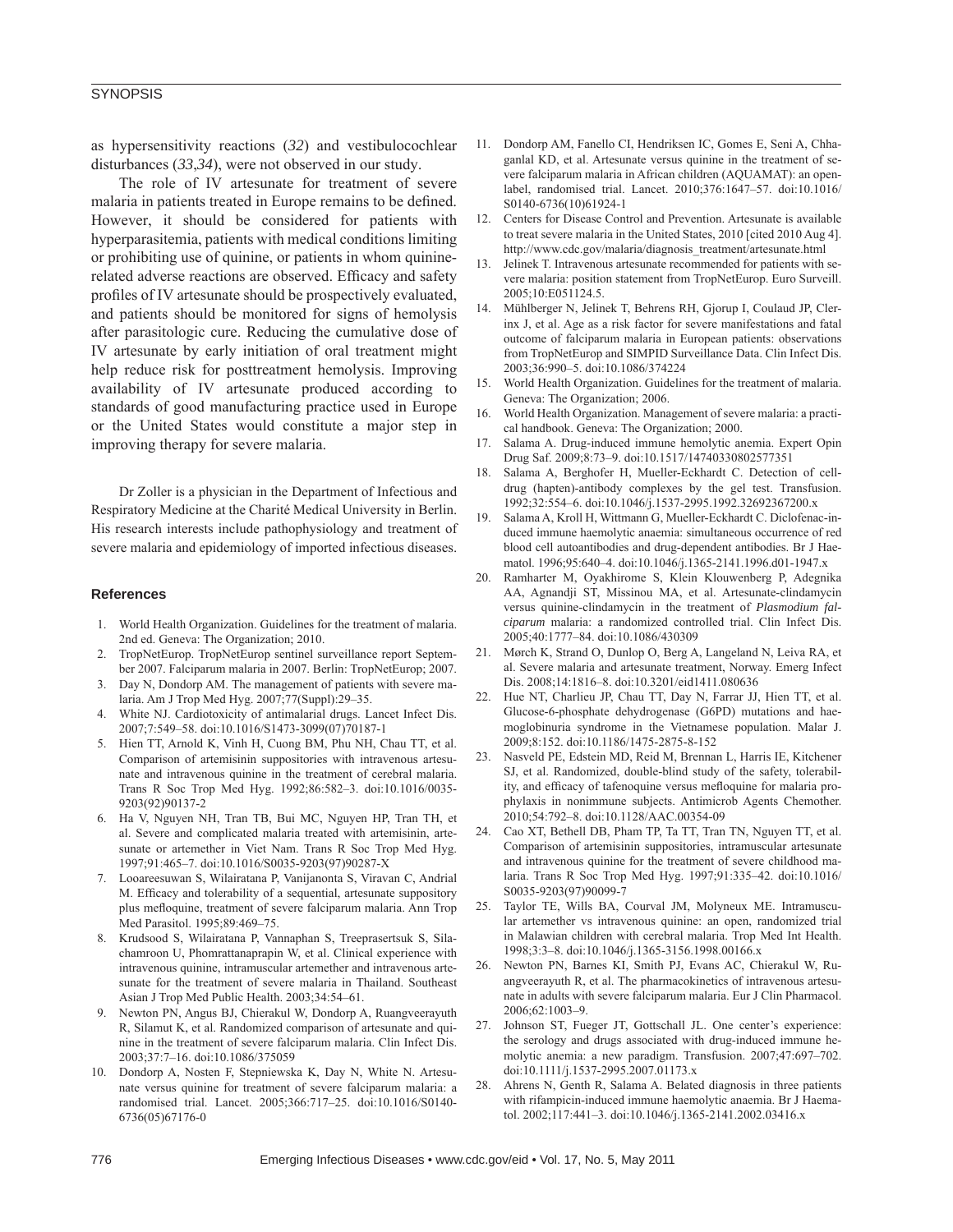# **SYNOPSIS**

as hypersensitivity reactions (*32*) and vestibulocochlear disturbances (*33*,*34*), were not observed in our study.

The role of IV artesunate for treatment of severe malaria in patients treated in Europe remains to be defined. However, it should be considered for patients with hyperparasitemia, patients with medical conditions limiting or prohibiting use of quinine, or patients in whom quininerelated adverse reactions are observed. Efficacy and safety profiles of IV artesunate should be prospectively evaluated, and patients should be monitored for signs of hemolysis after parasitologic cure. Reducing the cumulative dose of IV artesunate by early initiation of oral treatment might help reduce risk for posttreatment hemolysis. Improving availability of IV artesunate produced according to standards of good manufacturing practice used in Europe or the United States would constitute a major step in improving therapy for severe malaria.

Dr Zoller is a physician in the Department of Infectious and Respiratory Medicine at the Charité Medical University in Berlin. His research interests include pathophysiology and treatment of severe malaria and epidemiology of imported infectious diseases.

#### **References**

- 1. World Health Organization. Guidelines for the treatment of malaria. 2nd ed. Geneva: The Organization; 2010.
- 2. TropNetEurop. TropNetEurop sentinel surveillance report September 2007. Falciparum malaria in 2007. Berlin: TropNetEurop; 2007.
- 3. Day N, Dondorp AM. The management of patients with severe malaria. Am J Trop Med Hyg. 2007;77(Suppl):29–35.
- White NJ. Cardiotoxicity of antimalarial drugs. Lancet Infect Dis. 2007;7:549–58. doi:10.1016/S1473-3099(07)70187-1
- 5. Hien TT, Arnold K, Vinh H, Cuong BM, Phu NH, Chau TT, et al. Comparison of artemisinin suppositories with intravenous artesunate and intravenous quinine in the treatment of cerebral malaria. Trans R Soc Trop Med Hyg. 1992;86:582–3. doi:10.1016/0035- 9203(92)90137-2
- 6. Ha V, Nguyen NH, Tran TB, Bui MC, Nguyen HP, Tran TH, et al. Severe and complicated malaria treated with artemisinin, artesunate or artemether in Viet Nam. Trans R Soc Trop Med Hyg. 1997;91:465–7. doi:10.1016/S0035-9203(97)90287-X
- 7. Looareesuwan S, Wilairatana P, Vanijanonta S, Viravan C, Andrial M. Efficacy and tolerability of a sequential, artesunate suppository plus mefloquine, treatment of severe falciparum malaria. Ann Trop Med Parasitol. 1995;89:469–75.
- 8. Krudsood S, Wilairatana P, Vannaphan S, Treeprasertsuk S, Silachamroon U, Phomrattanaprapin W, et al. Clinical experience with intravenous quinine, intramuscular artemether and intravenous artesunate for the treatment of severe malaria in Thailand. Southeast Asian J Trop Med Public Health. 2003;34:54–61.
- 9. Newton PN, Angus BJ, Chierakul W, Dondorp A, Ruangveerayuth R, Silamut K, et al. Randomized comparison of artesunate and quinine in the treatment of severe falciparum malaria. Clin Infect Dis. 2003;37:7–16. doi:10.1086/375059
- 10. Dondorp A, Nosten F, Stepniewska K, Day N, White N. Artesunate versus quinine for treatment of severe falciparum malaria: a randomised trial. Lancet. 2005;366:717–25. doi:10.1016/S0140- 6736(05)67176-0
- 11. Dondorp AM, Fanello CI, Hendriksen IC, Gomes E, Seni A, Chhaganlal KD, et al. Artesunate versus quinine in the treatment of severe falciparum malaria in African children (AQUAMAT): an openlabel, randomised trial. Lancet. 2010;376:1647–57. doi:10.1016/ S0140-6736(10)61924-1
- 12. Centers for Disease Control and Prevention. Artesunate is available to treat severe malaria in the United States, 2010 [cited 2010 Aug 4]. http://www.cdc.gov/malaria/diagnosis\_treatment/artesunate.html
- 13. Jelinek T. Intravenous artesunate recommended for patients with severe malaria: position statement from TropNetEurop. Euro Surveill. 2005;10:E051124.5.
- 14. Mühlberger N, Jelinek T, Behrens RH, Gjorup I, Coulaud JP, Clerinx J, et al. Age as a risk factor for severe manifestations and fatal outcome of falciparum malaria in European patients: observations from TropNetEurop and SIMPID Surveillance Data. Clin Infect Dis. 2003;36:990–5. doi:10.1086/374224
- 15. World Health Organization. Guidelines for the treatment of malaria. Geneva: The Organization; 2006.
- 16. World Health Organization. Management of severe malaria: a practical handbook. Geneva: The Organization; 2000.
- 17. Salama A. Drug-induced immune hemolytic anemia. Expert Opin Drug Saf. 2009;8:73–9. doi:10.1517/14740330802577351
- 18. Salama A, Berghofer H, Mueller-Eckhardt C. Detection of celldrug (hapten)-antibody complexes by the gel test. Transfusion. 1992;32:554–6. doi:10.1046/j.1537-2995.1992.32692367200.x
- 19. Salama A, Kroll H, Wittmann G, Mueller-Eckhardt C. Diclofenac-induced immune haemolytic anaemia: simultaneous occurrence of red blood cell autoantibodies and drug-dependent antibodies. Br J Haematol. 1996;95:640–4. doi:10.1046/j.1365-2141.1996.d01-1947.x
- 20. Ramharter M, Oyakhirome S, Klein Klouwenberg P, Adegnika AA, Agnandji ST, Missinou MA, et al. Artesunate-clindamycin versus quinine-clindamycin in the treatment of *Plasmodium falciparum* malaria: a randomized controlled trial. Clin Infect Dis. 2005;40:1777–84. doi:10.1086/430309
- 21. Mørch K, Strand O, Dunlop O, Berg A, Langeland N, Leiva RA, et al. Severe malaria and artesunate treatment, Norway. Emerg Infect Dis. 2008;14:1816–8. doi:10.3201/eid1411.080636
- 22. Hue NT, Charlieu JP, Chau TT, Day N, Farrar JJ, Hien TT, et al. Glucose-6-phosphate dehydrogenase (G6PD) mutations and haemoglobinuria syndrome in the Vietnamese population. Malar J. 2009;8:152. doi:10.1186/1475-2875-8-152
- 23. Nasveld PE, Edstein MD, Reid M, Brennan L, Harris IE, Kitchener SJ, et al. Randomized, double-blind study of the safety, tolerability, and efficacy of tafenoquine versus mefloquine for malaria prophylaxis in nonimmune subjects. Antimicrob Agents Chemother. 2010;54:792–8. doi:10.1128/AAC.00354-09
- 24. Cao XT, Bethell DB, Pham TP, Ta TT, Tran TN, Nguyen TT, et al. Comparison of artemisinin suppositories, intramuscular artesunate and intravenous quinine for the treatment of severe childhood malaria. Trans R Soc Trop Med Hyg. 1997;91:335–42. doi:10.1016/ S0035-9203(97)90099-7
- 25. Taylor TE, Wills BA, Courval JM, Molyneux ME. Intramuscular artemether vs intravenous quinine: an open, randomized trial in Malawian children with cerebral malaria. Trop Med Int Health. 1998;3:3–8. doi:10.1046/j.1365-3156.1998.00166.x
- 26. Newton PN, Barnes KI, Smith PJ, Evans AC, Chierakul W, Ruangveerayuth R, et al. The pharmacokinetics of intravenous artesunate in adults with severe falciparum malaria. Eur J Clin Pharmacol. 2006;62:1003–9.
- 27. Johnson ST, Fueger JT, Gottschall JL. One center's experience: the serology and drugs associated with drug-induced immune hemolytic anemia: a new paradigm. Transfusion. 2007;47:697–702. doi:10.1111/j.1537-2995.2007.01173.x
- 28. Ahrens N, Genth R, Salama A. Belated diagnosis in three patients with rifampicin-induced immune haemolytic anaemia. Br J Haematol. 2002;117:441–3. doi:10.1046/j.1365-2141.2002.03416.x